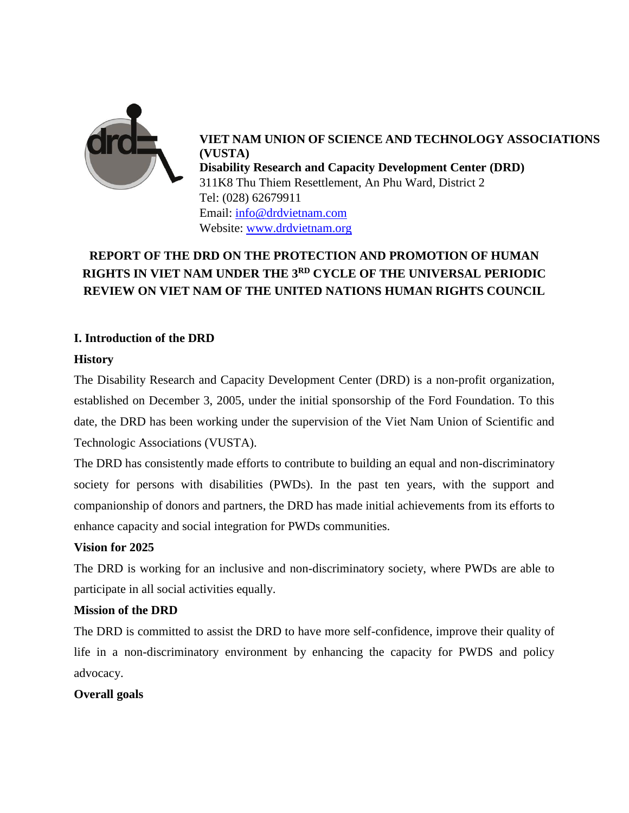

**VIET NAM UNION OF SCIENCE AND TECHNOLOGY ASSOCIATIONS (VUSTA) Disability Research and Capacity Development Center (DRD)** 311K8 Thu Thiem Resettlement, An Phu Ward, District 2 Tel: (028) 62679911 Email: [info@drdvietnam.com](mailto:info@drdvietnam.com) Website: [www.drdvietnam.org](http://www.drdvietnam.org/)

# **REPORT OF THE DRD ON THE PROTECTION AND PROMOTION OF HUMAN RIGHTS IN VIET NAM UNDER THE 3RD CYCLE OF THE UNIVERSAL PERIODIC REVIEW ON VIET NAM OF THE UNITED NATIONS HUMAN RIGHTS COUNCIL**

## **I. Introduction of the DRD**

## **History**

The Disability Research and Capacity Development Center (DRD) is a non-profit organization, established on December 3, 2005, under the initial sponsorship of the Ford Foundation. To this date, the DRD has been working under the supervision of the Viet Nam Union of Scientific and Technologic Associations (VUSTA).

The DRD has consistently made efforts to contribute to building an equal and non-discriminatory society for persons with disabilities (PWDs). In the past ten years, with the support and companionship of donors and partners, the DRD has made initial achievements from its efforts to enhance capacity and social integration for PWDs communities.

## **Vision for 2025**

The DRD is working for an inclusive and non-discriminatory society, where PWDs are able to participate in all social activities equally.

#### **Mission of the DRD**

The DRD is committed to assist the DRD to have more self-confidence, improve their quality of life in a non-discriminatory environment by enhancing the capacity for PWDS and policy advocacy.

#### **Overall goals**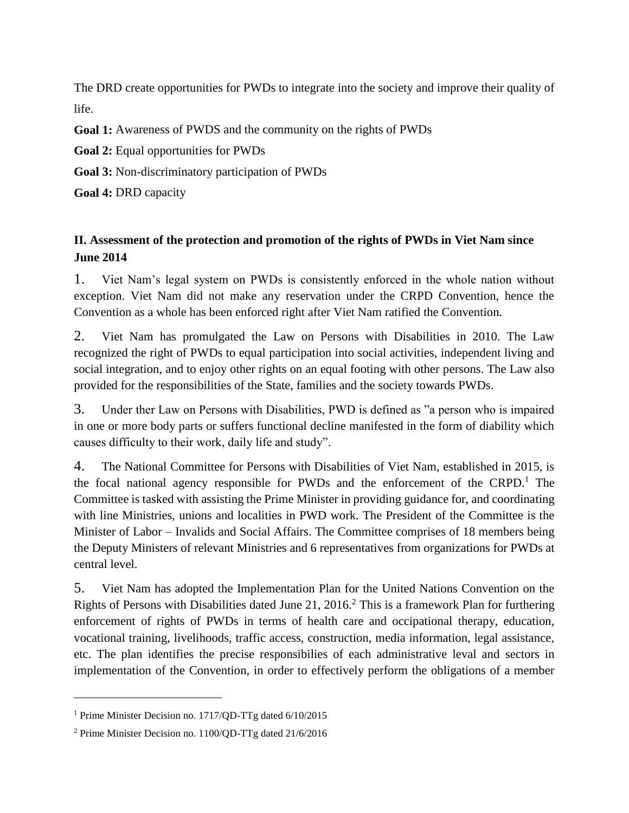The DRD create opportunities for PWDs to integrate into the society and improve their quality of life.

**Goal 1:** Awareness of PWDS and the community on the rights of PWDs

**Goal 2:** Equal opportunities for PWDs

**Goal 3:** Non-discriminatory participation of PWDs

**Goal 4:** DRD capacity

## **II. Assessment of the protection and promotion of the rights of PWDs in Viet Nam since June 2014**

1. Viet Nam's legal system on PWDs is consistently enforced in the whole nation without exception. Viet Nam did not make any reservation under the CRPD Convention, hence the Convention as a whole has been enforced right after Viet Nam ratified the Convention.

2. Viet Nam has promulgated the Law on Persons with Disabilities in 2010. The Law recognized the right of PWDs to equal participation into social activities, independent living and social integration, and to enjoy other rights on an equal footing with other persons. The Law also provided for the responsibilities of the State, families and the society towards PWDs.

3. Under ther Law on Persons with Disabilities, PWD is defined as "a person who is impaired in one or more body parts or suffers functional decline manifested in the form of diability which causes difficulty to their work, daily life and study".

4. The National Committee for Persons with Disabilities of Viet Nam, established in 2015, is the focal national agency responsible for PWDs and the enforcement of the CRPD.<sup>1</sup> The Committee is tasked with assisting the Prime Minister in providing guidance for, and coordinating with line Ministries, unions and localities in PWD work. The President of the Committee is the Minister of Labor – Invalids and Social Affairs. The Committee comprises of 18 members being the Deputy Ministers of relevant Ministries and 6 representatives from organizations for PWDs at central level.

5. Viet Nam has adopted the Implementation Plan for the United Nations Convention on the Rights of Persons with Disabilities dated June 21, 2016.<sup>2</sup> This is a framework Plan for furthering enforcement of rights of PWDs in terms of health care and occipational therapy, education, vocational training, livelihoods, traffic access, construction, media information, legal assistance, etc. The plan identifies the precise responsibilies of each administrative leval and sectors in implementation of the Convention, in order to effectively perform the obligations of a member

 $\overline{a}$ 

<sup>&</sup>lt;sup>1</sup> Prime Minister Decision no. 1717/QD-TTg dated 6/10/2015

<sup>2</sup> Prime Minister Decision no. 1100/QD-TTg dated 21/6/2016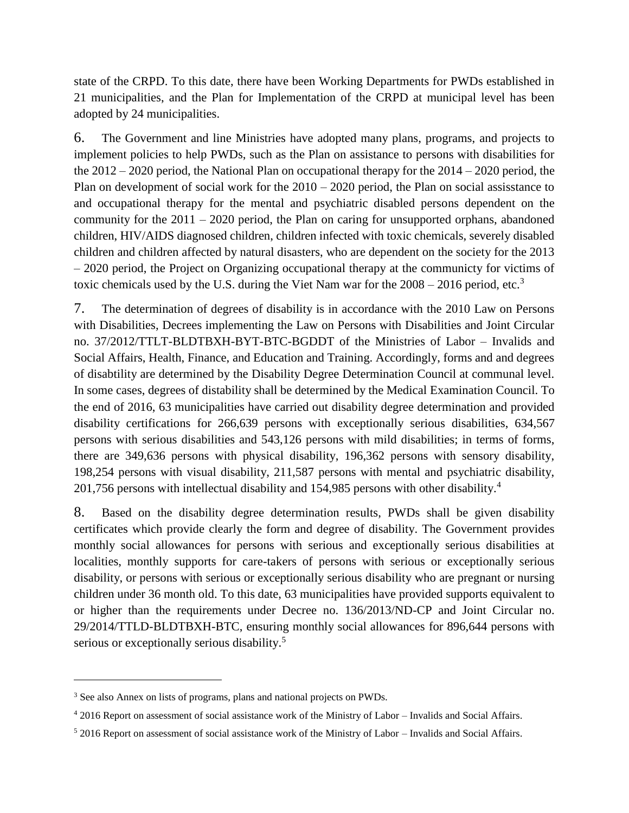state of the CRPD. To this date, there have been Working Departments for PWDs established in 21 municipalities, and the Plan for Implementation of the CRPD at municipal level has been adopted by 24 municipalities.

6. The Government and line Ministries have adopted many plans, programs, and projects to implement policies to help PWDs, such as the Plan on assistance to persons with disabilities for the 2012 – 2020 period, the National Plan on occupational therapy for the 2014 – 2020 period, the Plan on development of social work for the  $2010 - 2020$  period, the Plan on social assisstance to and occupational therapy for the mental and psychiatric disabled persons dependent on the community for the 2011 – 2020 period, the Plan on caring for unsupported orphans, abandoned children, HIV/AIDS diagnosed children, children infected with toxic chemicals, severely disabled children and children affected by natural disasters, who are dependent on the society for the 2013 – 2020 period, the Project on Organizing occupational therapy at the communicty for victims of toxic chemicals used by the U.S. during the Viet Nam war for the  $2008 - 2016$  period, etc.<sup>3</sup>

7. The determination of degrees of disability is in accordance with the 2010 Law on Persons with Disabilities, Decrees implementing the Law on Persons with Disabilities and Joint Circular no. 37/2012/TTLT-BLDTBXH-BYT-BTC-BGDDT of the Ministries of Labor – Invalids and Social Affairs, Health, Finance, and Education and Training. Accordingly, forms and and degrees of disabtility are determined by the Disability Degree Determination Council at communal level. In some cases, degrees of distability shall be determined by the Medical Examination Council. To the end of 2016, 63 municipalities have carried out disability degree determination and provided disability certifications for 266,639 persons with exceptionally serious disabilities, 634,567 persons with serious disabilities and 543,126 persons with mild disabilities; in terms of forms, there are 349,636 persons with physical disability, 196,362 persons with sensory disability, 198,254 persons with visual disability, 211,587 persons with mental and psychiatric disability, 201,756 persons with intellectual disability and 154,985 persons with other disability.<sup>4</sup>

8. Based on the disability degree determination results, PWDs shall be given disability certificates which provide clearly the form and degree of disability. The Government provides monthly social allowances for persons with serious and exceptionally serious disabilities at localities, monthly supports for care-takers of persons with serious or exceptionally serious disability, or persons with serious or exceptionally serious disability who are pregnant or nursing children under 36 month old. To this date, 63 municipalities have provided supports equivalent to or higher than the requirements under Decree no. 136/2013/ND-CP and Joint Circular no. 29/2014/TTLD-BLDTBXH-BTC, ensuring monthly social allowances for 896,644 persons with serious or exceptionally serious disability.<sup>5</sup>

 $\overline{\phantom{a}}$ 

<sup>3</sup> See also Annex on lists of programs, plans and national projects on PWDs.

<sup>4</sup> 2016 Report on assessment of social assistance work of the Ministry of Labor – Invalids and Social Affairs.

<sup>5</sup> 2016 Report on assessment of social assistance work of the Ministry of Labor – Invalids and Social Affairs.